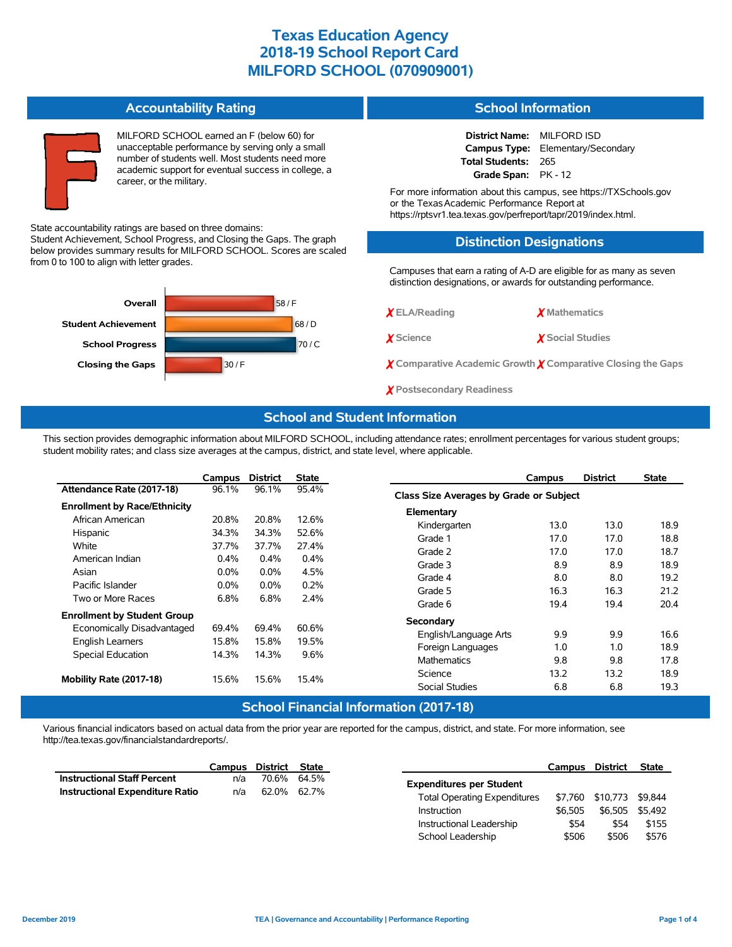#### **Accountability Rating**

MILFORD SCHOOL earned an F (below 60) for unacceptable performance by serving only a small number of students well. Most students need more academic support for eventual success in college, a career, or the military.

#### State accountability ratings are based on three domains:

Student Achievement, School Progress, and Closing the Gaps. The graph below provides summary results for MILFORD SCHOOL. Scores are scaled from 0 to 100 to align with letter grades.



### **School Information**

**District Name:** MILFORD ISD **Campus Type:** Elementary/Secondary **Total Students:** 265 **Grade Span:** PK - 12

For more information about this campus, see https://TXSchools.gov or the Texas Academic Performance Report at https://rptsvr1.tea.texas.gov/perfreport/tapr/2019/index.html.

# **Distinction Designations**

Campuses that earn a rating of A-D are eligible for as many as seven distinction designations, or awards for outstanding performance.

| X <sub>ELA/Reading</sub> | X Mathematics |
|--------------------------|---------------|
|--------------------------|---------------|

✗ **Science** ✗ **Social Studies**

✗ **Comparative Academic Growth** ✗ **Comparative Closing the Gaps**

✗ **Postsecondary Readiness**

## **School and Student Information**

This section provides demographic information about MILFORD SCHOOL, including attendance rates; enrollment percentages for various student groups; student mobility rates; and class size averages at the campus, district, and state level, where applicable.

|                                     | Campus  | <b>District</b> | <b>State</b> | Campus                                  | <b>District</b> | <b>State</b> |
|-------------------------------------|---------|-----------------|--------------|-----------------------------------------|-----------------|--------------|
| Attendance Rate (2017-18)           | 96.1%   | 96.1%           | 95.4%        | Class Size Averages by Grade or Subject |                 |              |
| <b>Enrollment by Race/Ethnicity</b> |         |                 |              | Elementary                              |                 |              |
| African American                    | 20.8%   | 20.8%           | 12.6%        | Kindergarten<br>13.0                    | 13.0            | 18.9         |
| Hispanic                            | 34.3%   | 34.3%           | 52.6%        | Grade 1<br>17.0                         | 17.0            | 18.8         |
| White                               | 37.7%   | 37.7%           | 27.4%        | Grade 2<br>17.0                         | 17.0            | 18.7         |
| American Indian                     | 0.4%    | $0.4\%$         | 0.4%         |                                         |                 |              |
| Asian                               | $0.0\%$ | $0.0\%$         | 4.5%         | 8.9<br>Grade 3                          | 8.9             | 18.9         |
| Pacific Islander                    | $0.0\%$ | $0.0\%$         | 0.2%         | 8.0<br>Grade 4                          | 8.0             | 19.2         |
| Two or More Races                   | 6.8%    | 6.8%            | 2.4%         | 16.3<br>Grade 5                         | 16.3            | 21.2         |
| <b>Enrollment by Student Group</b>  |         |                 |              | Grade 6<br>19.4                         | 19.4            | 20.4         |
| Economically Disadvantaged          | 69.4%   | 69.4%           | 60.6%        | Secondary                               |                 |              |
| <b>English Learners</b>             | 15.8%   | 15.8%           | 19.5%        | 9.9<br>English/Language Arts            | 9.9             | 16.6         |
| Special Education                   | 14.3%   | 14.3%           | 9.6%         | Foreign Languages<br>1.0                | 1.0             | 18.9         |
|                                     |         |                 |              | 9.8<br><b>Mathematics</b>               | 9.8             | 17.8         |
| Mobility Rate (2017-18)             | 15.6%   | 15.6%           | 15.4%        | 13.2<br>Science                         | 13.2            | 18.9         |
|                                     |         |                 |              | 6.8<br>Social Studies                   | 6.8             | 19.3         |

#### **School Financial Information (2017-18)**

Various financial indicators based on actual data from the prior year are reported for the campus, district, and state. For more information, see http://tea.texas.gov/financialstandardreports/.

|                                        | Campus District State |             |  |
|----------------------------------------|-----------------------|-------------|--|
| <b>Instructional Staff Percent</b>     | n/a                   | 70.6% 64.5% |  |
| <b>Instructional Expenditure Ratio</b> | n/a                   | 62.0% 62.7% |  |

|                                     | Campus District |          | <b>State</b> |
|-------------------------------------|-----------------|----------|--------------|
| <b>Expenditures per Student</b>     |                 |          |              |
| <b>Total Operating Expenditures</b> | \$7.760         | \$10,773 | \$9.844      |
| Instruction                         | \$6.505         | \$6,505  | \$5.492      |
| Instructional Leadership            | \$54            | \$54     | \$155        |
| School Leadership                   | \$506           | \$506    | \$576        |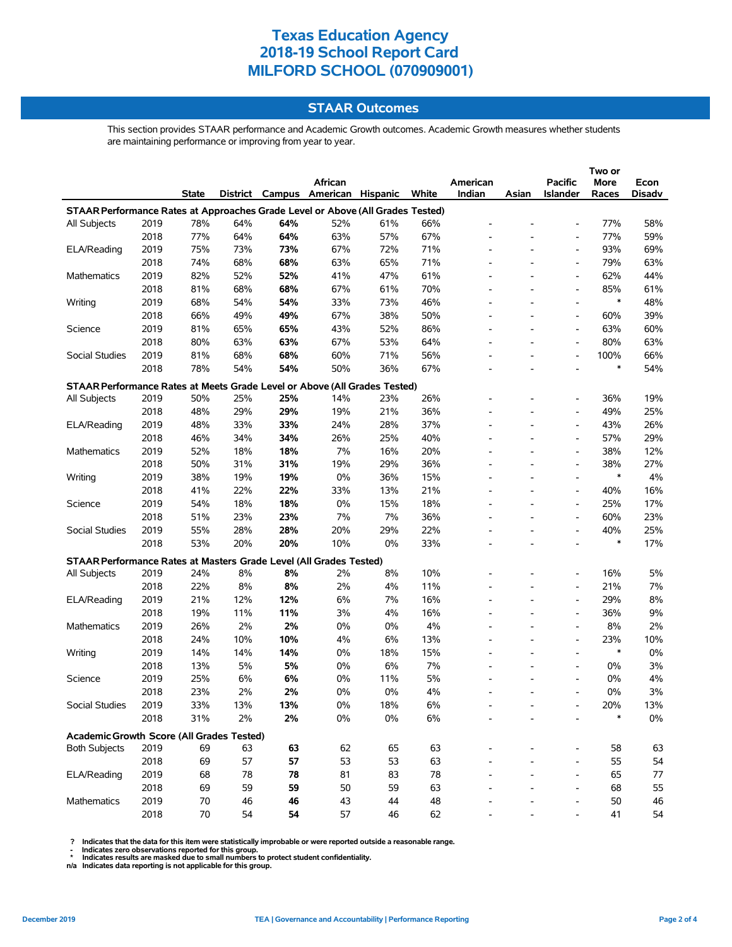# **STAAR Outcomes**

This section provides STAAR performance and Academic Growth outcomes. Academic Growth measures whether students are maintaining performance or improving from year to year.

|                                                                                |      |              |     | Two or |                                   |     |       |                          |       |                          |        |               |
|--------------------------------------------------------------------------------|------|--------------|-----|--------|-----------------------------------|-----|-------|--------------------------|-------|--------------------------|--------|---------------|
|                                                                                |      |              |     |        | African                           |     |       | American                 |       | <b>Pacific</b>           | More   | Econ          |
|                                                                                |      | <b>State</b> |     |        | District Campus American Hispanic |     | White | Indian                   | Asian | Islander                 | Races  | <b>Disadv</b> |
| STAAR Performance Rates at Approaches Grade Level or Above (All Grades Tested) |      |              |     |        |                                   |     |       |                          |       |                          |        |               |
| All Subjects                                                                   | 2019 | 78%          | 64% | 64%    | 52%                               | 61% | 66%   |                          |       |                          | 77%    | 58%           |
|                                                                                | 2018 | 77%          | 64% | 64%    | 63%                               | 57% | 67%   |                          |       | $\overline{a}$           | 77%    | 59%           |
| ELA/Reading                                                                    | 2019 | 75%          | 73% | 73%    | 67%                               | 72% | 71%   |                          |       | $\overline{a}$           | 93%    | 69%           |
|                                                                                | 2018 | 74%          | 68% | 68%    | 63%                               | 65% | 71%   | $\overline{\phantom{a}}$ |       | $\overline{a}$           | 79%    | 63%           |
| <b>Mathematics</b>                                                             | 2019 | 82%          | 52% | 52%    | 41%                               | 47% | 61%   |                          |       | $\overline{a}$           | 62%    | 44%           |
|                                                                                | 2018 | 81%          | 68% | 68%    | 67%                               | 61% | 70%   |                          |       | $\overline{a}$           | 85%    | 61%           |
| Writing                                                                        | 2019 | 68%          | 54% | 54%    | 33%                               | 73% | 46%   | $\overline{\phantom{0}}$ |       | $\overline{\phantom{a}}$ | $\ast$ | 48%           |
|                                                                                | 2018 | 66%          | 49% | 49%    | 67%                               | 38% | 50%   |                          |       | $\overline{a}$           | 60%    | 39%           |
| Science                                                                        | 2019 | 81%          | 65% | 65%    | 43%                               | 52% | 86%   |                          |       | $\overline{a}$           | 63%    | 60%           |
|                                                                                | 2018 | 80%          | 63% | 63%    | 67%                               | 53% | 64%   | ÷,                       |       | $\overline{a}$           | 80%    | 63%           |
| Social Studies                                                                 | 2019 | 81%          | 68% | 68%    | 60%                               | 71% | 56%   | L,                       |       | $\overline{a}$           | 100%   | 66%           |
|                                                                                | 2018 | 78%          | 54% | 54%    | 50%                               | 36% | 67%   |                          |       |                          | ∗      | 54%           |
| STAAR Performance Rates at Meets Grade Level or Above (All Grades Tested)      |      |              |     |        |                                   |     |       |                          |       |                          |        |               |
| All Subjects                                                                   | 2019 | 50%          | 25% | 25%    | 14%                               | 23% | 26%   |                          |       | $\overline{a}$           | 36%    | 19%           |
|                                                                                | 2018 | 48%          | 29% | 29%    | 19%                               | 21% | 36%   |                          |       | $\overline{a}$           | 49%    | 25%           |
| ELA/Reading                                                                    | 2019 | 48%          | 33% | 33%    | 24%                               | 28% | 37%   | ÷                        |       | $\overline{\phantom{a}}$ | 43%    | 26%           |
|                                                                                | 2018 | 46%          | 34% | 34%    | 26%                               | 25% | 40%   |                          |       | $\overline{a}$           | 57%    | 29%           |
| Mathematics                                                                    | 2019 | 52%          | 18% | 18%    | 7%                                | 16% | 20%   |                          |       | $\overline{a}$           | 38%    | 12%           |
|                                                                                | 2018 | 50%          | 31% | 31%    | 19%                               | 29% | 36%   | ÷,                       |       | $\overline{a}$           | 38%    | 27%           |
| Writing                                                                        | 2019 | 38%          | 19% | 19%    | 0%                                | 36% | 15%   | L,                       |       | $\overline{a}$           | $\ast$ | $4\%$         |
|                                                                                | 2018 | 41%          | 22% | 22%    | 33%                               | 13% | 21%   | $\overline{\phantom{0}}$ |       | $\overline{\phantom{a}}$ | 40%    | 16%           |
| Science                                                                        | 2019 | 54%          | 18% | 18%    | 0%                                | 15% | 18%   |                          |       | $\overline{\phantom{a}}$ | 25%    | 17%           |
|                                                                                | 2018 | 51%          | 23% | 23%    | 7%                                | 7%  | 36%   |                          |       | $\overline{a}$           | 60%    | 23%           |
| Social Studies                                                                 | 2019 | 55%          | 28% | 28%    | 20%                               | 29% | 22%   |                          |       | $\overline{a}$           | 40%    | 25%           |
|                                                                                | 2018 | 53%          | 20% | 20%    | 10%                               | 0%  | 33%   |                          |       | $\overline{\phantom{a}}$ | $\ast$ | 17%           |
| STAAR Performance Rates at Masters Grade Level (All Grades Tested)             |      |              |     |        |                                   |     |       |                          |       |                          |        |               |
| All Subjects                                                                   | 2019 | 24%          | 8%  | 8%     | 2%                                | 8%  | 10%   |                          |       | $\overline{\phantom{a}}$ | 16%    | 5%            |
|                                                                                | 2018 | 22%          | 8%  | 8%     | 2%                                | 4%  | 11%   |                          |       | $\overline{a}$           | 21%    | 7%            |
| ELA/Reading                                                                    | 2019 | 21%          | 12% | 12%    | 6%                                | 7%  | 16%   | L,                       |       | $\overline{a}$           | 29%    | $8\%$         |
|                                                                                | 2018 | 19%          | 11% | 11%    | 3%                                | 4%  | 16%   |                          |       | $\overline{a}$           | 36%    | 9%            |
| Mathematics                                                                    | 2019 | 26%          | 2%  | 2%     | 0%                                | 0%  | 4%    |                          |       | $\overline{\phantom{a}}$ | 8%     | 2%            |
|                                                                                | 2018 | 24%          | 10% | 10%    | 4%                                | 6%  | 13%   |                          |       | $\overline{\phantom{a}}$ | 23%    | 10%           |
| Writing                                                                        | 2019 | 14%          | 14% | 14%    | 0%                                | 18% | 15%   | ÷,                       |       | $\overline{\phantom{a}}$ | $\ast$ | $0\%$         |
|                                                                                | 2018 | 13%          | 5%  | 5%     | 0%                                | 6%  | 7%    |                          |       | $\overline{\phantom{a}}$ | 0%     | $3%$          |
| Science                                                                        | 2019 | 25%          | 6%  | 6%     | 0%                                | 11% | 5%    | $\overline{\phantom{0}}$ |       | $\overline{\phantom{a}}$ | 0%     | 4%            |
|                                                                                | 2018 | 23%          | 2%  | 2%     | 0%                                | 0%  | 4%    |                          |       | $\overline{\phantom{a}}$ | 0%     | 3%            |
| Social Studies                                                                 | 2019 | 33%          | 13% | 13%    | $0\%$                             | 18% | 6%    |                          |       |                          | 20%    | 13%           |
|                                                                                | 2018 | 31%          | 2%  | 2%     | 0%                                | 0%  | 6%    |                          |       |                          | $\ast$ | $0\%$         |
|                                                                                |      |              |     |        |                                   |     |       |                          |       |                          |        |               |
| Academic Growth Score (All Grades Tested)                                      |      |              |     |        |                                   |     |       |                          |       |                          |        |               |
| <b>Both Subjects</b>                                                           | 2019 | 69           | 63  | 63     | 62                                | 65  | 63    |                          |       |                          | 58     | 63            |
|                                                                                | 2018 | 69           | 57  | 57     | 53                                | 53  | 63    |                          |       |                          | 55     | 54            |
| ELA/Reading                                                                    | 2019 | 68           | 78  | 78     | 81                                | 83  | 78    |                          |       | $\overline{a}$           | 65     | 77            |
|                                                                                | 2018 | 69           | 59  | 59     | 50                                | 59  | 63    |                          |       | $\overline{a}$           | 68     | 55            |
| <b>Mathematics</b>                                                             | 2019 | 70           | 46  | 46     | 43                                | 44  | 48    |                          |       |                          | 50     | 46            |
|                                                                                | 2018 | 70           | 54  | 54     | 57                                | 46  | 62    |                          |       |                          | 41     | 54            |

? Indicates that the data for this item were statistically improbable or were reported outside a reasonable range.<br>- Indicates zero observations reported for this group.<br>\* Indicates results are masked due to small numbers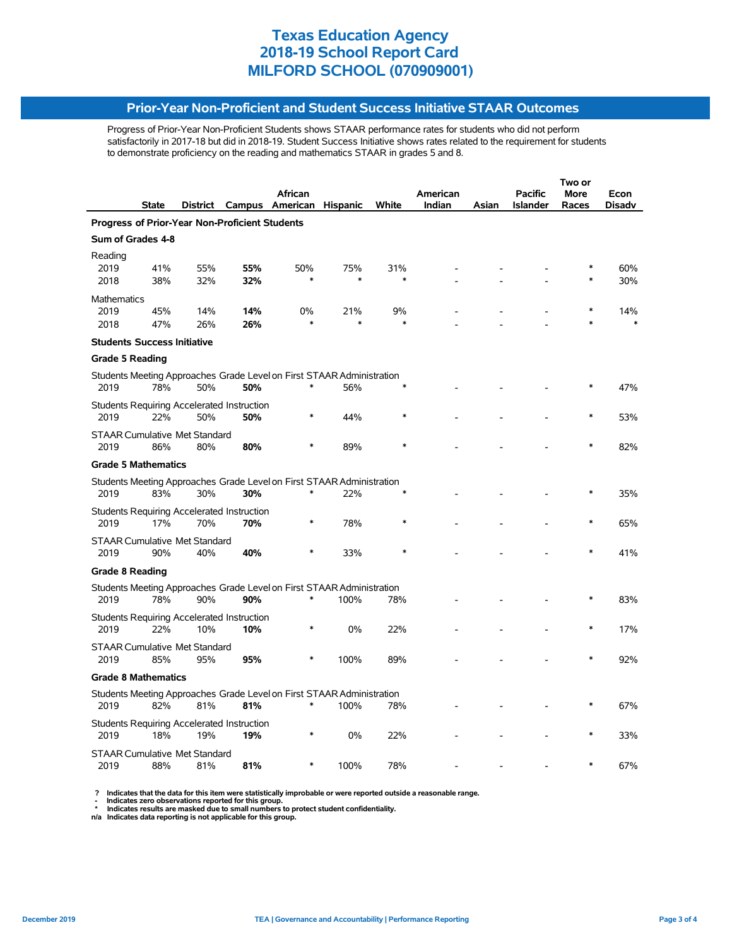## **Prior-Year Non-Proficient and Student Success Initiative STAAR Outcomes**

Progress of Prior-Year Non-Proficient Students shows STAAR performance rates for students who did not perform satisfactorily in 2017-18 but did in 2018-19. Student Success Initiative shows rates related to the requirement for students to demonstrate proficiency on the reading and mathematics STAAR in grades 5 and 8.

|                                                |                                             |     |                                                   |                                                                                 |        |        |          | Two or |                 |             |        |  |
|------------------------------------------------|---------------------------------------------|-----|---------------------------------------------------|---------------------------------------------------------------------------------|--------|--------|----------|--------|-----------------|-------------|--------|--|
|                                                |                                             |     |                                                   | African                                                                         |        |        | American |        | <b>Pacific</b>  | <b>More</b> | Econ   |  |
|                                                | State                                       |     |                                                   | District Campus American Hispanic                                               |        | White  | Indian   | Asian  | <b>Islander</b> | Races       | Disadv |  |
| Progress of Prior-Year Non-Proficient Students |                                             |     |                                                   |                                                                                 |        |        |          |        |                 |             |        |  |
| Sum of Grades 4-8                              |                                             |     |                                                   |                                                                                 |        |        |          |        |                 |             |        |  |
| Reading<br>2019                                | 41%                                         | 55% | 55%                                               | 50%                                                                             | 75%    | 31%    |          |        |                 |             | 60%    |  |
| 2018                                           | 38%                                         | 32% | 32%                                               |                                                                                 | $\ast$ | $\ast$ |          |        |                 |             | 30%    |  |
| <b>Mathematics</b>                             |                                             |     |                                                   |                                                                                 |        |        |          |        |                 |             |        |  |
| 2019                                           | 45%                                         | 14% | 14%                                               | 0%                                                                              | 21%    | 9%     |          |        |                 | $\ast$      | 14%    |  |
| 2018                                           | 47%                                         | 26% | 26%                                               |                                                                                 | $\ast$ |        |          |        |                 |             |        |  |
| <b>Students Success Initiative</b>             |                                             |     |                                                   |                                                                                 |        |        |          |        |                 |             |        |  |
| <b>Grade 5 Reading</b>                         |                                             |     |                                                   |                                                                                 |        |        |          |        |                 |             |        |  |
| 2019                                           | 78%                                         | 50% | 50%                                               | Students Meeting Approaches Grade Level on First STAAR Administration<br>$\ast$ | 56%    |        |          |        |                 |             | 47%    |  |
|                                                |                                             |     |                                                   |                                                                                 |        |        |          |        |                 |             |        |  |
| 2019                                           | 22%                                         | 50% | Students Requiring Accelerated Instruction<br>50% |                                                                                 | 44%    |        |          |        |                 |             | 53%    |  |
| 2019                                           | <b>STAAR Cumulative Met Standard</b><br>86% | 80% | 80%                                               |                                                                                 | 89%    |        |          |        |                 |             | 82%    |  |
|                                                |                                             |     |                                                   |                                                                                 |        |        |          |        |                 |             |        |  |
|                                                | <b>Grade 5 Mathematics</b>                  |     |                                                   |                                                                                 |        |        |          |        |                 |             |        |  |
| 2019                                           | 83%                                         | 30% | 30%                                               | Students Meeting Approaches Grade Level on First STAAR Administration<br>$\ast$ | 22%    |        |          |        |                 |             | 35%    |  |
|                                                |                                             |     | <b>Students Requiring Accelerated Instruction</b> |                                                                                 |        |        |          |        |                 |             |        |  |
| 2019                                           | 17%                                         | 70% | 70%                                               |                                                                                 | 78%    |        |          |        |                 |             | 65%    |  |
| 2019                                           | <b>STAAR Cumulative Met Standard</b><br>90% | 40% | 40%                                               |                                                                                 | 33%    |        |          |        |                 |             | 41%    |  |
|                                                |                                             |     |                                                   |                                                                                 |        |        |          |        |                 |             |        |  |
| <b>Grade 8 Reading</b>                         |                                             |     |                                                   |                                                                                 |        |        |          |        |                 |             |        |  |
| 2019                                           | 78%                                         | 90% | 90%                                               | Students Meeting Approaches Grade Level on First STAAR Administration<br>$\ast$ | 100%   | 78%    |          |        |                 |             | 83%    |  |
|                                                |                                             |     |                                                   |                                                                                 |        |        |          |        |                 |             |        |  |
| 2019                                           | 22%                                         | 10% | Students Requiring Accelerated Instruction<br>10% | $\ast$                                                                          | 0%     | 22%    |          |        |                 | $\ast$      | 17%    |  |
| 2019                                           | <b>STAAR Cumulative Met Standard</b><br>85% | 95% | 95%                                               |                                                                                 | 100%   | 89%    |          |        |                 |             | 92%    |  |
|                                                |                                             |     |                                                   |                                                                                 |        |        |          |        |                 |             |        |  |
|                                                | <b>Grade 8 Mathematics</b>                  |     |                                                   |                                                                                 |        |        |          |        |                 |             |        |  |
| 2019                                           | 82%                                         | 81% | 81%                                               | Students Meeting Approaches Grade Level on First STAAR Administration<br>∗      | 100%   | 78%    |          |        |                 |             | 67%    |  |
|                                                |                                             |     | Students Requiring Accelerated Instruction        |                                                                                 |        |        |          |        |                 |             |        |  |
| 2019                                           | 18%                                         | 19% | 19%                                               |                                                                                 | 0%     | 22%    |          |        |                 |             | 33%    |  |
| 2019                                           | <b>STAAR Cumulative Met Standard</b><br>88% | 81% | 81%                                               | ∗                                                                               | 100%   | 78%    |          |        |                 | $\ast$      | 67%    |  |
|                                                |                                             |     |                                                   |                                                                                 |        |        |          |        |                 |             |        |  |

 **? Indicates that the data for this item were statistically improbable or were reported outside a reasonable range.**

 **- Indicates zero observations reported for this group. \* Indicates results are masked due to small numbers to protect student confidentiality.**

**n/a Indicates data reporting is not applicable for this group.**